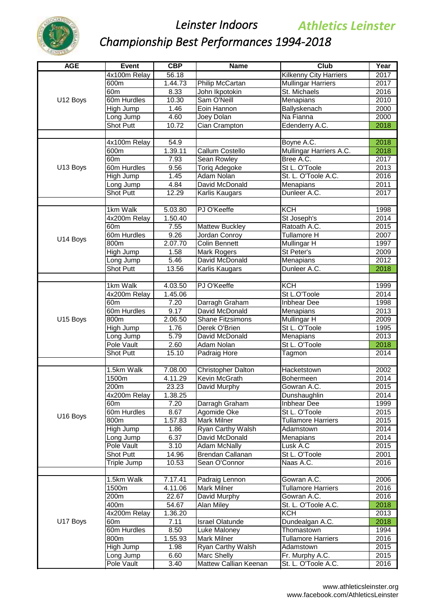

| <b>AGE</b> | Event                   | CBP                | <b>Name</b>                             | Club                          | Year         |
|------------|-------------------------|--------------------|-----------------------------------------|-------------------------------|--------------|
|            | 4x100m Relay            | 56.18              |                                         | <b>Kilkenny City Harriers</b> | 2017         |
|            | 600m                    | 1.44.73            | Philip McCartan                         | <b>Mullingar Harriers</b>     | 2017         |
|            | 60 <sub>m</sub>         | 8.33               | John Ikpotokin                          | St. Michaels                  | 2016         |
| U12 Boys   | 60m Hurdles             | 10.30              | Sam O'Neill                             | Menapians                     | 2010         |
|            | High Jump               | 1.46               | Eoin Hannon                             | Ballyskenach                  | 2000         |
|            | Long Jump               | 4.60               | Joey Dolan                              | Na Fianna                     | 2000         |
|            | <b>Shot Putt</b>        | 10.72              | Cian Crampton                           | Edenderry A.C.                | 2018         |
|            |                         |                    |                                         |                               |              |
|            | 4x100m Relay            | 54.9               |                                         | Boyne A.C.                    | 2018         |
|            | 600m                    | 1.39.11            | <b>Callum Costello</b>                  | Mullingar Harriers A.C.       | 2018         |
|            | 60 <sub>m</sub>         | 7.93               | <b>Sean Rowley</b>                      | Bree A.C.                     | 2017         |
| U13 Boys   | 60m Hurdles             | 9.56               | Toriq Adegoke                           | St L. O'Toole                 | 2013         |
|            | High Jump               | 1.45               | <b>Adam Nolan</b>                       | St. L. O'Toole A.C.           | 2016         |
|            | Long Jump               | 4.84               | David McDonald                          | Menapians                     | 2011         |
|            | <b>Shot Putt</b>        | 12.29              | Karlis Kaugars                          | Dunleer A.C.                  | 2017         |
|            | 1km Walk                | 5.03.80            | PJ O'Keeffe                             | <b>KCH</b>                    | 1998         |
|            | 4x200m Relay            | 1.50.40            |                                         | St Joseph's                   | 2014         |
|            | 60m                     | 7.55               | <b>Mattew Buckley</b>                   | Ratoath A.C.                  | 2015         |
|            | 60m Hurdles             | 9.26               | Jordan Conroy                           | <b>Tullamore H</b>            | 2007         |
| U14 Boys   | 800m                    | 2.07.70            | <b>Colin Bennett</b>                    | Mullingar H                   | 1997         |
|            | High Jump               | 1.58               | <b>Mark Rogers</b>                      | St Peter's                    | 2009         |
|            | Long Jump               | 5.46               | David McDonald                          | Menapians                     | 2012         |
|            | <b>Shot Putt</b>        | 13.56              | Karlis Kaugars                          | Dunleer A.C.                  | 2018         |
|            |                         |                    |                                         |                               |              |
|            | 1km Walk                | 4.03.50            | PJ O'Keeffe                             | KCH                           | 1999         |
|            | 4x200m Relay            | 1.45.06            |                                         | St L.O'Toole                  | 2014         |
|            | 60 <sub>m</sub>         | 7.20               | Darragh Graham                          | Inbhear Dee                   | 1998         |
|            | 60m Hurdles             | 9.17               | David McDonald                          | Menapians                     | 2013         |
| U15 Boys   | 800m                    | 2.06.50            | <b>Shane Fitzsimons</b>                 | <b>Mullingar H</b>            | 2009         |
|            | High Jump               | 1.76               | Derek O'Brien                           | St L. O'Toole                 | 1995         |
|            | Long Jump               | 5.79               | David McDonald                          | Menapians                     | 2013         |
|            | <b>Pole Vault</b>       | 2.60               | <b>Adam Nolan</b>                       | St L. O'Toole                 | 2018         |
|            | Shot Putt               | 15.10              | Padraig Hore                            | Tagmon                        | 2014         |
|            |                         |                    |                                         |                               |              |
|            | 1.5km Walk              | 7.08.00            | <b>Christopher Dalton</b>               | Hacketstown                   | 2002         |
|            | 1500m                   | 4.11.29            | Kevin McGrath                           | Bohermeen                     | 2014         |
|            | 200m                    | 23.23              | David Murphy                            | Gowran A.C.                   | 2015         |
|            | 4x200m Relay            | 1.38.25            |                                         | Dunshaughlin                  | 2014         |
|            | 60m                     | 7.20               | Darragh Graham                          | Inbhear Dee                   | 1999         |
| U16 Boys   | 60m Hurdles             | 8.67               | Agomide Oke                             | St L. O'Toole                 | 2015         |
|            | 800m                    | 1.57.83            | <b>Mark Milner</b>                      | <b>Tullamore Harriers</b>     | 2015         |
|            | High Jump               | 1.86               | Ryan Carthy Walsh                       | Adamstown                     | 2014<br>2014 |
|            | Long Jump<br>Pole Vault | 6.37<br>3.10       | David McDonald                          | Menapians<br>Lusk A.C         | 2015         |
|            | <b>Shot Putt</b>        | $\overline{14.96}$ | <b>Adam McNally</b><br>Brendan Callanan | St L. O'Toole                 | 2001         |
|            | Triple Jump             | 10.53              | Sean O'Connor                           | Naas A.C.                     | 2016         |
|            |                         |                    |                                         |                               |              |
|            | 1.5km Walk              | 7.17.41            | Padraig Lennon                          | Gowran A.C.                   | 2006         |
|            | 1500m                   | 4.11.06            | Mark Milner                             | <b>Tullamore Harriers</b>     | 2016         |
|            | 200m                    | 22.67              | David Murphy                            | Gowran A.C.                   | 2016         |
|            | 400m                    | 54.67              | Alan Miley                              | St. L. O'Toole A.C.           | 2018         |
|            | 4x200m Relay            | 1.36.20            |                                         | <b>KCH</b>                    | 2013         |
| U17 Boys   | 60m                     | 7.11               | <b>Israel Olatunde</b>                  | Dundealgan A.C.               | 2018         |
|            | 60m Hurdles             | 8.50               | Luke Maloney                            | Thomastown                    | 1994         |
|            | $\overline{8}00m$       | 1.55.93            | <b>Mark Milner</b>                      | <b>Tullamore Harriers</b>     | 2016         |
|            | <b>High Jump</b>        | 1.98               | Ryan Carthy Walsh                       | Adamstown                     | 2015         |
|            | Long Jump               | 6.60               | <b>Marc Shelly</b>                      | Fr. Murphy A.C.               | 2015         |
|            | Pole Vault              | 3.40               | Mattew Callian Keenan                   | St. L. O'Toole A.C.           | 2016         |
|            |                         |                    |                                         |                               |              |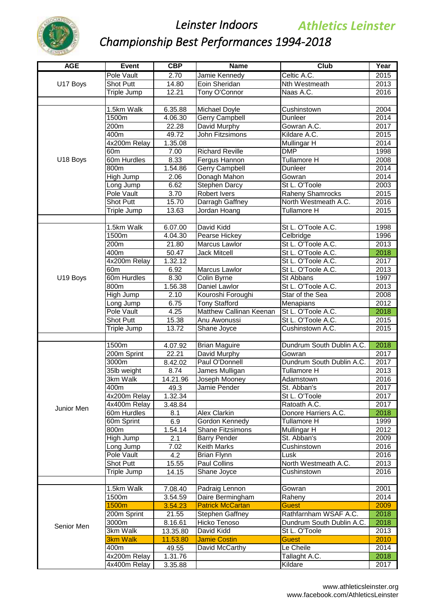

| Pole Vault<br>2.70<br>Jamie Kennedy<br>Celtic A.C.<br>2015<br>Eoin Sheridan<br><b>Nth Westmeath</b><br>2013<br>U17 Boys<br><b>Shot Putt</b><br>14.80<br>Naas A.C.<br>12.21<br>Tony O'Connor<br>2016<br>Triple Jump<br>1.5km Walk<br>6.35.88<br>Michael Doyle<br>Cushinstown<br>2004<br>4.06.30<br>2014<br>1500m<br>Gerry Campbell<br>Dunleer<br>200m<br>22.28<br>David Murphy<br>Gowran A.C.<br>2017<br>400m<br>49.72<br>John Fitzsimons<br>Kildare A.C.<br>2015<br>4x200m Relay<br>1.35.08<br>2014<br>Mullingar H<br><b>DMP</b><br>1998<br>60 <sub>m</sub><br>7.00<br><b>Richard Reville</b><br>2008<br>U18 Boys<br>60m Hurdles<br>8.33<br>Fergus Hannon<br><b>Tullamore H</b><br>1.54.86<br>2014<br>800m<br>Gerry Campbell<br>Dunleer<br>2.06<br>2014<br>High Jump<br>Donagh Mahon<br>Gowran<br><b>Stephen Darcy</b><br>6.62<br>St L. O'Toole<br>2003<br>ong Jump<br><b>Pole Vault</b><br>3.70<br>2015<br>Robert Ivers<br>Raheny Shamrocks<br>North Westmeath A.C.<br><b>Shot Putt</b><br>15.70<br>Darragh Gaffney<br>2016<br>Jordan Hoang<br><b>Tullamore H</b><br>2015<br>Triple Jump<br>13.63<br>1.5km Walk<br>6.07.00<br>David Kidd<br>St L. O'Toole A.C.<br>1998<br>1500m<br>4.04.30<br>Pearse Hickey<br>Celbridge<br>1996<br>200 <sub>m</sub><br>St L. O'Toole A.C.<br>2013<br>21.80<br><b>Marcus Lawlor</b><br>St L. O'Toole A.C.<br>2018<br>400m<br>50.47<br><b>Jack Mitcell</b><br>4x200m Relay<br>1.32.12<br>St L. O'Toole A.C.<br>2017<br><b>Marcus Lawlor</b><br>St L. O'Toole A.C.<br>2013<br>60 <sub>m</sub><br>6.92<br>60m Hurdles<br>U19 Boys<br>8.30<br>1997<br>Colin Byrne<br>St Abbans<br>800m<br>St L. O'Toole A.C.<br>1.56.38<br>Daniel Lawlor<br>2013<br>High Jump<br>Kouroshi Foroughi<br>Star of the Sea<br>2008<br>2.10<br>2012<br>6.75<br><b>Tony Stafford</b><br>Menapians<br>Long Jump<br>Pole Vault<br>4.25<br>Matthew Callinan Keenan<br>2018<br>St L. O'Toole A.C.<br>St L. O'Toole A.C.<br>2015<br>Shot Putt<br>15.38<br>Anu Awonussi<br>13.72<br>Cushinstown A.C.<br>2015<br>Triple Jump<br>Shane Joyce<br>Dundrum South Dublin A.C.<br>2018<br>1500m<br><b>Brian Maguire</b><br>4.07.92<br>200m Sprint<br>Gowran<br>22.21<br>David Murphy<br>2017<br>3000m<br>Paul O'Donnell<br>Dundrum South Dublin A.C.<br>2017<br>8.42.02<br>2013<br>35lb weight<br>8.74<br>James Mulligan<br><b>Tullamore H</b><br>2016<br>3km Walk<br>14.21.96<br>Joseph Mooney<br>Adamstown<br>49.3<br>Jamie Pender<br>2017<br>400m<br>St. Abban's<br>St L. O'Toole<br>4x200m Relay<br>2017<br>1.32.34<br>Ratoath A.C.<br>2017<br>4x400m Relay<br>3.48.84<br>Junior Men<br>Alex Clarkin<br>Donore Harriers A.C.<br>2018<br>60m Hurdles<br>8.1<br>Gordon Kennedy<br>Tullamore H<br>1999<br>60m Sprint<br>6.9<br>1.54.14<br>2012<br>800m<br>Shane Fitzsimons<br>Mullingar H<br>2.1<br>St. Abban's<br>2009<br>High Jump<br><b>Barry Pender</b><br>2016<br>Long Jump<br>7.02<br><b>Keith Marks</b><br>Cushinstown<br>2016<br>Pole Vault<br>4.2<br><b>Brian Flynn</b><br>Lusk<br>15.55<br>North Westmeath A.C.<br>2013<br><b>Shot Putt</b><br><b>Paul Collins</b><br>2016<br>Triple Jump<br>14.15<br>Shane Joyce<br>Cushinstown<br>1.5km Walk<br>2001<br>Padraig Lennon<br>7.08.40<br>Gowran<br>2014<br>1500m<br>3.54.59<br>Daire Bermingham<br>Raheny<br>1500m<br>2009<br><b>Patrick McCartan</b><br>3.54.23<br><b>Guest</b><br>2018<br>Rathfarnham WSAF A.C.<br>200m Sprint<br>21.55<br><b>Stephen Gaffney</b><br>2018<br>8.16.61<br>Hicko Tenoso<br>Dundrum South Dublin A.C.<br>3000m<br>Senior Men<br>3km Walk<br>13.35.80<br>David Kidd<br>St L. O'Toole<br>2013<br><b>3km Walk</b><br><b>Jamie Costin</b><br>2010<br>11.53.80<br><b>Guest</b><br>David McCarthy<br>Le Cheile<br>2014<br>400m<br>49.55<br>4x200m Relay<br>1.31.76<br>Tallaght A.C.<br>2018<br>Kildare<br>2017<br>4x400m Relay<br>3.35.88 | <b>AGE</b> | <b>Event</b> | CBP | <b>Name</b> | <b>Club</b> | Year |
|---------------------------------------------------------------------------------------------------------------------------------------------------------------------------------------------------------------------------------------------------------------------------------------------------------------------------------------------------------------------------------------------------------------------------------------------------------------------------------------------------------------------------------------------------------------------------------------------------------------------------------------------------------------------------------------------------------------------------------------------------------------------------------------------------------------------------------------------------------------------------------------------------------------------------------------------------------------------------------------------------------------------------------------------------------------------------------------------------------------------------------------------------------------------------------------------------------------------------------------------------------------------------------------------------------------------------------------------------------------------------------------------------------------------------------------------------------------------------------------------------------------------------------------------------------------------------------------------------------------------------------------------------------------------------------------------------------------------------------------------------------------------------------------------------------------------------------------------------------------------------------------------------------------------------------------------------------------------------------------------------------------------------------------------------------------------------------------------------------------------------------------------------------------------------------------------------------------------------------------------------------------------------------------------------------------------------------------------------------------------------------------------------------------------------------------------------------------------------------------------------------------------------------------------------------------------------------------------------------------------------------------------------------------------------------------------------------------------------------------------------------------------------------------------------------------------------------------------------------------------------------------------------------------------------------------------------------------------------------------------------------------------------------------------------------------------------------------------------------------------------------------------------------------------------------------------------------------------------------------------------------------------------------------------------------------------------------------------------------------------------------------------------------------------------------------------------------------------------------------------------------------------------------------------------------------------------------------------------------------------------------------------------------------------------------------------------------------------------------------------------------------------------------------------------------------------|------------|--------------|-----|-------------|-------------|------|
|                                                                                                                                                                                                                                                                                                                                                                                                                                                                                                                                                                                                                                                                                                                                                                                                                                                                                                                                                                                                                                                                                                                                                                                                                                                                                                                                                                                                                                                                                                                                                                                                                                                                                                                                                                                                                                                                                                                                                                                                                                                                                                                                                                                                                                                                                                                                                                                                                                                                                                                                                                                                                                                                                                                                                                                                                                                                                                                                                                                                                                                                                                                                                                                                                                                                                                                                                                                                                                                                                                                                                                                                                                                                                                                                                                                                                     |            |              |     |             |             |      |
|                                                                                                                                                                                                                                                                                                                                                                                                                                                                                                                                                                                                                                                                                                                                                                                                                                                                                                                                                                                                                                                                                                                                                                                                                                                                                                                                                                                                                                                                                                                                                                                                                                                                                                                                                                                                                                                                                                                                                                                                                                                                                                                                                                                                                                                                                                                                                                                                                                                                                                                                                                                                                                                                                                                                                                                                                                                                                                                                                                                                                                                                                                                                                                                                                                                                                                                                                                                                                                                                                                                                                                                                                                                                                                                                                                                                                     |            |              |     |             |             |      |
|                                                                                                                                                                                                                                                                                                                                                                                                                                                                                                                                                                                                                                                                                                                                                                                                                                                                                                                                                                                                                                                                                                                                                                                                                                                                                                                                                                                                                                                                                                                                                                                                                                                                                                                                                                                                                                                                                                                                                                                                                                                                                                                                                                                                                                                                                                                                                                                                                                                                                                                                                                                                                                                                                                                                                                                                                                                                                                                                                                                                                                                                                                                                                                                                                                                                                                                                                                                                                                                                                                                                                                                                                                                                                                                                                                                                                     |            |              |     |             |             |      |
|                                                                                                                                                                                                                                                                                                                                                                                                                                                                                                                                                                                                                                                                                                                                                                                                                                                                                                                                                                                                                                                                                                                                                                                                                                                                                                                                                                                                                                                                                                                                                                                                                                                                                                                                                                                                                                                                                                                                                                                                                                                                                                                                                                                                                                                                                                                                                                                                                                                                                                                                                                                                                                                                                                                                                                                                                                                                                                                                                                                                                                                                                                                                                                                                                                                                                                                                                                                                                                                                                                                                                                                                                                                                                                                                                                                                                     |            |              |     |             |             |      |
|                                                                                                                                                                                                                                                                                                                                                                                                                                                                                                                                                                                                                                                                                                                                                                                                                                                                                                                                                                                                                                                                                                                                                                                                                                                                                                                                                                                                                                                                                                                                                                                                                                                                                                                                                                                                                                                                                                                                                                                                                                                                                                                                                                                                                                                                                                                                                                                                                                                                                                                                                                                                                                                                                                                                                                                                                                                                                                                                                                                                                                                                                                                                                                                                                                                                                                                                                                                                                                                                                                                                                                                                                                                                                                                                                                                                                     |            |              |     |             |             |      |
|                                                                                                                                                                                                                                                                                                                                                                                                                                                                                                                                                                                                                                                                                                                                                                                                                                                                                                                                                                                                                                                                                                                                                                                                                                                                                                                                                                                                                                                                                                                                                                                                                                                                                                                                                                                                                                                                                                                                                                                                                                                                                                                                                                                                                                                                                                                                                                                                                                                                                                                                                                                                                                                                                                                                                                                                                                                                                                                                                                                                                                                                                                                                                                                                                                                                                                                                                                                                                                                                                                                                                                                                                                                                                                                                                                                                                     |            |              |     |             |             |      |
|                                                                                                                                                                                                                                                                                                                                                                                                                                                                                                                                                                                                                                                                                                                                                                                                                                                                                                                                                                                                                                                                                                                                                                                                                                                                                                                                                                                                                                                                                                                                                                                                                                                                                                                                                                                                                                                                                                                                                                                                                                                                                                                                                                                                                                                                                                                                                                                                                                                                                                                                                                                                                                                                                                                                                                                                                                                                                                                                                                                                                                                                                                                                                                                                                                                                                                                                                                                                                                                                                                                                                                                                                                                                                                                                                                                                                     |            |              |     |             |             |      |
|                                                                                                                                                                                                                                                                                                                                                                                                                                                                                                                                                                                                                                                                                                                                                                                                                                                                                                                                                                                                                                                                                                                                                                                                                                                                                                                                                                                                                                                                                                                                                                                                                                                                                                                                                                                                                                                                                                                                                                                                                                                                                                                                                                                                                                                                                                                                                                                                                                                                                                                                                                                                                                                                                                                                                                                                                                                                                                                                                                                                                                                                                                                                                                                                                                                                                                                                                                                                                                                                                                                                                                                                                                                                                                                                                                                                                     |            |              |     |             |             |      |
|                                                                                                                                                                                                                                                                                                                                                                                                                                                                                                                                                                                                                                                                                                                                                                                                                                                                                                                                                                                                                                                                                                                                                                                                                                                                                                                                                                                                                                                                                                                                                                                                                                                                                                                                                                                                                                                                                                                                                                                                                                                                                                                                                                                                                                                                                                                                                                                                                                                                                                                                                                                                                                                                                                                                                                                                                                                                                                                                                                                                                                                                                                                                                                                                                                                                                                                                                                                                                                                                                                                                                                                                                                                                                                                                                                                                                     |            |              |     |             |             |      |
|                                                                                                                                                                                                                                                                                                                                                                                                                                                                                                                                                                                                                                                                                                                                                                                                                                                                                                                                                                                                                                                                                                                                                                                                                                                                                                                                                                                                                                                                                                                                                                                                                                                                                                                                                                                                                                                                                                                                                                                                                                                                                                                                                                                                                                                                                                                                                                                                                                                                                                                                                                                                                                                                                                                                                                                                                                                                                                                                                                                                                                                                                                                                                                                                                                                                                                                                                                                                                                                                                                                                                                                                                                                                                                                                                                                                                     |            |              |     |             |             |      |
|                                                                                                                                                                                                                                                                                                                                                                                                                                                                                                                                                                                                                                                                                                                                                                                                                                                                                                                                                                                                                                                                                                                                                                                                                                                                                                                                                                                                                                                                                                                                                                                                                                                                                                                                                                                                                                                                                                                                                                                                                                                                                                                                                                                                                                                                                                                                                                                                                                                                                                                                                                                                                                                                                                                                                                                                                                                                                                                                                                                                                                                                                                                                                                                                                                                                                                                                                                                                                                                                                                                                                                                                                                                                                                                                                                                                                     |            |              |     |             |             |      |
|                                                                                                                                                                                                                                                                                                                                                                                                                                                                                                                                                                                                                                                                                                                                                                                                                                                                                                                                                                                                                                                                                                                                                                                                                                                                                                                                                                                                                                                                                                                                                                                                                                                                                                                                                                                                                                                                                                                                                                                                                                                                                                                                                                                                                                                                                                                                                                                                                                                                                                                                                                                                                                                                                                                                                                                                                                                                                                                                                                                                                                                                                                                                                                                                                                                                                                                                                                                                                                                                                                                                                                                                                                                                                                                                                                                                                     |            |              |     |             |             |      |
|                                                                                                                                                                                                                                                                                                                                                                                                                                                                                                                                                                                                                                                                                                                                                                                                                                                                                                                                                                                                                                                                                                                                                                                                                                                                                                                                                                                                                                                                                                                                                                                                                                                                                                                                                                                                                                                                                                                                                                                                                                                                                                                                                                                                                                                                                                                                                                                                                                                                                                                                                                                                                                                                                                                                                                                                                                                                                                                                                                                                                                                                                                                                                                                                                                                                                                                                                                                                                                                                                                                                                                                                                                                                                                                                                                                                                     |            |              |     |             |             |      |
|                                                                                                                                                                                                                                                                                                                                                                                                                                                                                                                                                                                                                                                                                                                                                                                                                                                                                                                                                                                                                                                                                                                                                                                                                                                                                                                                                                                                                                                                                                                                                                                                                                                                                                                                                                                                                                                                                                                                                                                                                                                                                                                                                                                                                                                                                                                                                                                                                                                                                                                                                                                                                                                                                                                                                                                                                                                                                                                                                                                                                                                                                                                                                                                                                                                                                                                                                                                                                                                                                                                                                                                                                                                                                                                                                                                                                     |            |              |     |             |             |      |
|                                                                                                                                                                                                                                                                                                                                                                                                                                                                                                                                                                                                                                                                                                                                                                                                                                                                                                                                                                                                                                                                                                                                                                                                                                                                                                                                                                                                                                                                                                                                                                                                                                                                                                                                                                                                                                                                                                                                                                                                                                                                                                                                                                                                                                                                                                                                                                                                                                                                                                                                                                                                                                                                                                                                                                                                                                                                                                                                                                                                                                                                                                                                                                                                                                                                                                                                                                                                                                                                                                                                                                                                                                                                                                                                                                                                                     |            |              |     |             |             |      |
|                                                                                                                                                                                                                                                                                                                                                                                                                                                                                                                                                                                                                                                                                                                                                                                                                                                                                                                                                                                                                                                                                                                                                                                                                                                                                                                                                                                                                                                                                                                                                                                                                                                                                                                                                                                                                                                                                                                                                                                                                                                                                                                                                                                                                                                                                                                                                                                                                                                                                                                                                                                                                                                                                                                                                                                                                                                                                                                                                                                                                                                                                                                                                                                                                                                                                                                                                                                                                                                                                                                                                                                                                                                                                                                                                                                                                     |            |              |     |             |             |      |
|                                                                                                                                                                                                                                                                                                                                                                                                                                                                                                                                                                                                                                                                                                                                                                                                                                                                                                                                                                                                                                                                                                                                                                                                                                                                                                                                                                                                                                                                                                                                                                                                                                                                                                                                                                                                                                                                                                                                                                                                                                                                                                                                                                                                                                                                                                                                                                                                                                                                                                                                                                                                                                                                                                                                                                                                                                                                                                                                                                                                                                                                                                                                                                                                                                                                                                                                                                                                                                                                                                                                                                                                                                                                                                                                                                                                                     |            |              |     |             |             |      |
|                                                                                                                                                                                                                                                                                                                                                                                                                                                                                                                                                                                                                                                                                                                                                                                                                                                                                                                                                                                                                                                                                                                                                                                                                                                                                                                                                                                                                                                                                                                                                                                                                                                                                                                                                                                                                                                                                                                                                                                                                                                                                                                                                                                                                                                                                                                                                                                                                                                                                                                                                                                                                                                                                                                                                                                                                                                                                                                                                                                                                                                                                                                                                                                                                                                                                                                                                                                                                                                                                                                                                                                                                                                                                                                                                                                                                     |            |              |     |             |             |      |
|                                                                                                                                                                                                                                                                                                                                                                                                                                                                                                                                                                                                                                                                                                                                                                                                                                                                                                                                                                                                                                                                                                                                                                                                                                                                                                                                                                                                                                                                                                                                                                                                                                                                                                                                                                                                                                                                                                                                                                                                                                                                                                                                                                                                                                                                                                                                                                                                                                                                                                                                                                                                                                                                                                                                                                                                                                                                                                                                                                                                                                                                                                                                                                                                                                                                                                                                                                                                                                                                                                                                                                                                                                                                                                                                                                                                                     |            |              |     |             |             |      |
|                                                                                                                                                                                                                                                                                                                                                                                                                                                                                                                                                                                                                                                                                                                                                                                                                                                                                                                                                                                                                                                                                                                                                                                                                                                                                                                                                                                                                                                                                                                                                                                                                                                                                                                                                                                                                                                                                                                                                                                                                                                                                                                                                                                                                                                                                                                                                                                                                                                                                                                                                                                                                                                                                                                                                                                                                                                                                                                                                                                                                                                                                                                                                                                                                                                                                                                                                                                                                                                                                                                                                                                                                                                                                                                                                                                                                     |            |              |     |             |             |      |
|                                                                                                                                                                                                                                                                                                                                                                                                                                                                                                                                                                                                                                                                                                                                                                                                                                                                                                                                                                                                                                                                                                                                                                                                                                                                                                                                                                                                                                                                                                                                                                                                                                                                                                                                                                                                                                                                                                                                                                                                                                                                                                                                                                                                                                                                                                                                                                                                                                                                                                                                                                                                                                                                                                                                                                                                                                                                                                                                                                                                                                                                                                                                                                                                                                                                                                                                                                                                                                                                                                                                                                                                                                                                                                                                                                                                                     |            |              |     |             |             |      |
|                                                                                                                                                                                                                                                                                                                                                                                                                                                                                                                                                                                                                                                                                                                                                                                                                                                                                                                                                                                                                                                                                                                                                                                                                                                                                                                                                                                                                                                                                                                                                                                                                                                                                                                                                                                                                                                                                                                                                                                                                                                                                                                                                                                                                                                                                                                                                                                                                                                                                                                                                                                                                                                                                                                                                                                                                                                                                                                                                                                                                                                                                                                                                                                                                                                                                                                                                                                                                                                                                                                                                                                                                                                                                                                                                                                                                     |            |              |     |             |             |      |
|                                                                                                                                                                                                                                                                                                                                                                                                                                                                                                                                                                                                                                                                                                                                                                                                                                                                                                                                                                                                                                                                                                                                                                                                                                                                                                                                                                                                                                                                                                                                                                                                                                                                                                                                                                                                                                                                                                                                                                                                                                                                                                                                                                                                                                                                                                                                                                                                                                                                                                                                                                                                                                                                                                                                                                                                                                                                                                                                                                                                                                                                                                                                                                                                                                                                                                                                                                                                                                                                                                                                                                                                                                                                                                                                                                                                                     |            |              |     |             |             |      |
|                                                                                                                                                                                                                                                                                                                                                                                                                                                                                                                                                                                                                                                                                                                                                                                                                                                                                                                                                                                                                                                                                                                                                                                                                                                                                                                                                                                                                                                                                                                                                                                                                                                                                                                                                                                                                                                                                                                                                                                                                                                                                                                                                                                                                                                                                                                                                                                                                                                                                                                                                                                                                                                                                                                                                                                                                                                                                                                                                                                                                                                                                                                                                                                                                                                                                                                                                                                                                                                                                                                                                                                                                                                                                                                                                                                                                     |            |              |     |             |             |      |
|                                                                                                                                                                                                                                                                                                                                                                                                                                                                                                                                                                                                                                                                                                                                                                                                                                                                                                                                                                                                                                                                                                                                                                                                                                                                                                                                                                                                                                                                                                                                                                                                                                                                                                                                                                                                                                                                                                                                                                                                                                                                                                                                                                                                                                                                                                                                                                                                                                                                                                                                                                                                                                                                                                                                                                                                                                                                                                                                                                                                                                                                                                                                                                                                                                                                                                                                                                                                                                                                                                                                                                                                                                                                                                                                                                                                                     |            |              |     |             |             |      |
|                                                                                                                                                                                                                                                                                                                                                                                                                                                                                                                                                                                                                                                                                                                                                                                                                                                                                                                                                                                                                                                                                                                                                                                                                                                                                                                                                                                                                                                                                                                                                                                                                                                                                                                                                                                                                                                                                                                                                                                                                                                                                                                                                                                                                                                                                                                                                                                                                                                                                                                                                                                                                                                                                                                                                                                                                                                                                                                                                                                                                                                                                                                                                                                                                                                                                                                                                                                                                                                                                                                                                                                                                                                                                                                                                                                                                     |            |              |     |             |             |      |
|                                                                                                                                                                                                                                                                                                                                                                                                                                                                                                                                                                                                                                                                                                                                                                                                                                                                                                                                                                                                                                                                                                                                                                                                                                                                                                                                                                                                                                                                                                                                                                                                                                                                                                                                                                                                                                                                                                                                                                                                                                                                                                                                                                                                                                                                                                                                                                                                                                                                                                                                                                                                                                                                                                                                                                                                                                                                                                                                                                                                                                                                                                                                                                                                                                                                                                                                                                                                                                                                                                                                                                                                                                                                                                                                                                                                                     |            |              |     |             |             |      |
|                                                                                                                                                                                                                                                                                                                                                                                                                                                                                                                                                                                                                                                                                                                                                                                                                                                                                                                                                                                                                                                                                                                                                                                                                                                                                                                                                                                                                                                                                                                                                                                                                                                                                                                                                                                                                                                                                                                                                                                                                                                                                                                                                                                                                                                                                                                                                                                                                                                                                                                                                                                                                                                                                                                                                                                                                                                                                                                                                                                                                                                                                                                                                                                                                                                                                                                                                                                                                                                                                                                                                                                                                                                                                                                                                                                                                     |            |              |     |             |             |      |
|                                                                                                                                                                                                                                                                                                                                                                                                                                                                                                                                                                                                                                                                                                                                                                                                                                                                                                                                                                                                                                                                                                                                                                                                                                                                                                                                                                                                                                                                                                                                                                                                                                                                                                                                                                                                                                                                                                                                                                                                                                                                                                                                                                                                                                                                                                                                                                                                                                                                                                                                                                                                                                                                                                                                                                                                                                                                                                                                                                                                                                                                                                                                                                                                                                                                                                                                                                                                                                                                                                                                                                                                                                                                                                                                                                                                                     |            |              |     |             |             |      |
|                                                                                                                                                                                                                                                                                                                                                                                                                                                                                                                                                                                                                                                                                                                                                                                                                                                                                                                                                                                                                                                                                                                                                                                                                                                                                                                                                                                                                                                                                                                                                                                                                                                                                                                                                                                                                                                                                                                                                                                                                                                                                                                                                                                                                                                                                                                                                                                                                                                                                                                                                                                                                                                                                                                                                                                                                                                                                                                                                                                                                                                                                                                                                                                                                                                                                                                                                                                                                                                                                                                                                                                                                                                                                                                                                                                                                     |            |              |     |             |             |      |
|                                                                                                                                                                                                                                                                                                                                                                                                                                                                                                                                                                                                                                                                                                                                                                                                                                                                                                                                                                                                                                                                                                                                                                                                                                                                                                                                                                                                                                                                                                                                                                                                                                                                                                                                                                                                                                                                                                                                                                                                                                                                                                                                                                                                                                                                                                                                                                                                                                                                                                                                                                                                                                                                                                                                                                                                                                                                                                                                                                                                                                                                                                                                                                                                                                                                                                                                                                                                                                                                                                                                                                                                                                                                                                                                                                                                                     |            |              |     |             |             |      |
|                                                                                                                                                                                                                                                                                                                                                                                                                                                                                                                                                                                                                                                                                                                                                                                                                                                                                                                                                                                                                                                                                                                                                                                                                                                                                                                                                                                                                                                                                                                                                                                                                                                                                                                                                                                                                                                                                                                                                                                                                                                                                                                                                                                                                                                                                                                                                                                                                                                                                                                                                                                                                                                                                                                                                                                                                                                                                                                                                                                                                                                                                                                                                                                                                                                                                                                                                                                                                                                                                                                                                                                                                                                                                                                                                                                                                     |            |              |     |             |             |      |
|                                                                                                                                                                                                                                                                                                                                                                                                                                                                                                                                                                                                                                                                                                                                                                                                                                                                                                                                                                                                                                                                                                                                                                                                                                                                                                                                                                                                                                                                                                                                                                                                                                                                                                                                                                                                                                                                                                                                                                                                                                                                                                                                                                                                                                                                                                                                                                                                                                                                                                                                                                                                                                                                                                                                                                                                                                                                                                                                                                                                                                                                                                                                                                                                                                                                                                                                                                                                                                                                                                                                                                                                                                                                                                                                                                                                                     |            |              |     |             |             |      |
|                                                                                                                                                                                                                                                                                                                                                                                                                                                                                                                                                                                                                                                                                                                                                                                                                                                                                                                                                                                                                                                                                                                                                                                                                                                                                                                                                                                                                                                                                                                                                                                                                                                                                                                                                                                                                                                                                                                                                                                                                                                                                                                                                                                                                                                                                                                                                                                                                                                                                                                                                                                                                                                                                                                                                                                                                                                                                                                                                                                                                                                                                                                                                                                                                                                                                                                                                                                                                                                                                                                                                                                                                                                                                                                                                                                                                     |            |              |     |             |             |      |
|                                                                                                                                                                                                                                                                                                                                                                                                                                                                                                                                                                                                                                                                                                                                                                                                                                                                                                                                                                                                                                                                                                                                                                                                                                                                                                                                                                                                                                                                                                                                                                                                                                                                                                                                                                                                                                                                                                                                                                                                                                                                                                                                                                                                                                                                                                                                                                                                                                                                                                                                                                                                                                                                                                                                                                                                                                                                                                                                                                                                                                                                                                                                                                                                                                                                                                                                                                                                                                                                                                                                                                                                                                                                                                                                                                                                                     |            |              |     |             |             |      |
|                                                                                                                                                                                                                                                                                                                                                                                                                                                                                                                                                                                                                                                                                                                                                                                                                                                                                                                                                                                                                                                                                                                                                                                                                                                                                                                                                                                                                                                                                                                                                                                                                                                                                                                                                                                                                                                                                                                                                                                                                                                                                                                                                                                                                                                                                                                                                                                                                                                                                                                                                                                                                                                                                                                                                                                                                                                                                                                                                                                                                                                                                                                                                                                                                                                                                                                                                                                                                                                                                                                                                                                                                                                                                                                                                                                                                     |            |              |     |             |             |      |
|                                                                                                                                                                                                                                                                                                                                                                                                                                                                                                                                                                                                                                                                                                                                                                                                                                                                                                                                                                                                                                                                                                                                                                                                                                                                                                                                                                                                                                                                                                                                                                                                                                                                                                                                                                                                                                                                                                                                                                                                                                                                                                                                                                                                                                                                                                                                                                                                                                                                                                                                                                                                                                                                                                                                                                                                                                                                                                                                                                                                                                                                                                                                                                                                                                                                                                                                                                                                                                                                                                                                                                                                                                                                                                                                                                                                                     |            |              |     |             |             |      |
|                                                                                                                                                                                                                                                                                                                                                                                                                                                                                                                                                                                                                                                                                                                                                                                                                                                                                                                                                                                                                                                                                                                                                                                                                                                                                                                                                                                                                                                                                                                                                                                                                                                                                                                                                                                                                                                                                                                                                                                                                                                                                                                                                                                                                                                                                                                                                                                                                                                                                                                                                                                                                                                                                                                                                                                                                                                                                                                                                                                                                                                                                                                                                                                                                                                                                                                                                                                                                                                                                                                                                                                                                                                                                                                                                                                                                     |            |              |     |             |             |      |
|                                                                                                                                                                                                                                                                                                                                                                                                                                                                                                                                                                                                                                                                                                                                                                                                                                                                                                                                                                                                                                                                                                                                                                                                                                                                                                                                                                                                                                                                                                                                                                                                                                                                                                                                                                                                                                                                                                                                                                                                                                                                                                                                                                                                                                                                                                                                                                                                                                                                                                                                                                                                                                                                                                                                                                                                                                                                                                                                                                                                                                                                                                                                                                                                                                                                                                                                                                                                                                                                                                                                                                                                                                                                                                                                                                                                                     |            |              |     |             |             |      |
|                                                                                                                                                                                                                                                                                                                                                                                                                                                                                                                                                                                                                                                                                                                                                                                                                                                                                                                                                                                                                                                                                                                                                                                                                                                                                                                                                                                                                                                                                                                                                                                                                                                                                                                                                                                                                                                                                                                                                                                                                                                                                                                                                                                                                                                                                                                                                                                                                                                                                                                                                                                                                                                                                                                                                                                                                                                                                                                                                                                                                                                                                                                                                                                                                                                                                                                                                                                                                                                                                                                                                                                                                                                                                                                                                                                                                     |            |              |     |             |             |      |
|                                                                                                                                                                                                                                                                                                                                                                                                                                                                                                                                                                                                                                                                                                                                                                                                                                                                                                                                                                                                                                                                                                                                                                                                                                                                                                                                                                                                                                                                                                                                                                                                                                                                                                                                                                                                                                                                                                                                                                                                                                                                                                                                                                                                                                                                                                                                                                                                                                                                                                                                                                                                                                                                                                                                                                                                                                                                                                                                                                                                                                                                                                                                                                                                                                                                                                                                                                                                                                                                                                                                                                                                                                                                                                                                                                                                                     |            |              |     |             |             |      |
|                                                                                                                                                                                                                                                                                                                                                                                                                                                                                                                                                                                                                                                                                                                                                                                                                                                                                                                                                                                                                                                                                                                                                                                                                                                                                                                                                                                                                                                                                                                                                                                                                                                                                                                                                                                                                                                                                                                                                                                                                                                                                                                                                                                                                                                                                                                                                                                                                                                                                                                                                                                                                                                                                                                                                                                                                                                                                                                                                                                                                                                                                                                                                                                                                                                                                                                                                                                                                                                                                                                                                                                                                                                                                                                                                                                                                     |            |              |     |             |             |      |
|                                                                                                                                                                                                                                                                                                                                                                                                                                                                                                                                                                                                                                                                                                                                                                                                                                                                                                                                                                                                                                                                                                                                                                                                                                                                                                                                                                                                                                                                                                                                                                                                                                                                                                                                                                                                                                                                                                                                                                                                                                                                                                                                                                                                                                                                                                                                                                                                                                                                                                                                                                                                                                                                                                                                                                                                                                                                                                                                                                                                                                                                                                                                                                                                                                                                                                                                                                                                                                                                                                                                                                                                                                                                                                                                                                                                                     |            |              |     |             |             |      |
|                                                                                                                                                                                                                                                                                                                                                                                                                                                                                                                                                                                                                                                                                                                                                                                                                                                                                                                                                                                                                                                                                                                                                                                                                                                                                                                                                                                                                                                                                                                                                                                                                                                                                                                                                                                                                                                                                                                                                                                                                                                                                                                                                                                                                                                                                                                                                                                                                                                                                                                                                                                                                                                                                                                                                                                                                                                                                                                                                                                                                                                                                                                                                                                                                                                                                                                                                                                                                                                                                                                                                                                                                                                                                                                                                                                                                     |            |              |     |             |             |      |
|                                                                                                                                                                                                                                                                                                                                                                                                                                                                                                                                                                                                                                                                                                                                                                                                                                                                                                                                                                                                                                                                                                                                                                                                                                                                                                                                                                                                                                                                                                                                                                                                                                                                                                                                                                                                                                                                                                                                                                                                                                                                                                                                                                                                                                                                                                                                                                                                                                                                                                                                                                                                                                                                                                                                                                                                                                                                                                                                                                                                                                                                                                                                                                                                                                                                                                                                                                                                                                                                                                                                                                                                                                                                                                                                                                                                                     |            |              |     |             |             |      |
|                                                                                                                                                                                                                                                                                                                                                                                                                                                                                                                                                                                                                                                                                                                                                                                                                                                                                                                                                                                                                                                                                                                                                                                                                                                                                                                                                                                                                                                                                                                                                                                                                                                                                                                                                                                                                                                                                                                                                                                                                                                                                                                                                                                                                                                                                                                                                                                                                                                                                                                                                                                                                                                                                                                                                                                                                                                                                                                                                                                                                                                                                                                                                                                                                                                                                                                                                                                                                                                                                                                                                                                                                                                                                                                                                                                                                     |            |              |     |             |             |      |
|                                                                                                                                                                                                                                                                                                                                                                                                                                                                                                                                                                                                                                                                                                                                                                                                                                                                                                                                                                                                                                                                                                                                                                                                                                                                                                                                                                                                                                                                                                                                                                                                                                                                                                                                                                                                                                                                                                                                                                                                                                                                                                                                                                                                                                                                                                                                                                                                                                                                                                                                                                                                                                                                                                                                                                                                                                                                                                                                                                                                                                                                                                                                                                                                                                                                                                                                                                                                                                                                                                                                                                                                                                                                                                                                                                                                                     |            |              |     |             |             |      |
|                                                                                                                                                                                                                                                                                                                                                                                                                                                                                                                                                                                                                                                                                                                                                                                                                                                                                                                                                                                                                                                                                                                                                                                                                                                                                                                                                                                                                                                                                                                                                                                                                                                                                                                                                                                                                                                                                                                                                                                                                                                                                                                                                                                                                                                                                                                                                                                                                                                                                                                                                                                                                                                                                                                                                                                                                                                                                                                                                                                                                                                                                                                                                                                                                                                                                                                                                                                                                                                                                                                                                                                                                                                                                                                                                                                                                     |            |              |     |             |             |      |
|                                                                                                                                                                                                                                                                                                                                                                                                                                                                                                                                                                                                                                                                                                                                                                                                                                                                                                                                                                                                                                                                                                                                                                                                                                                                                                                                                                                                                                                                                                                                                                                                                                                                                                                                                                                                                                                                                                                                                                                                                                                                                                                                                                                                                                                                                                                                                                                                                                                                                                                                                                                                                                                                                                                                                                                                                                                                                                                                                                                                                                                                                                                                                                                                                                                                                                                                                                                                                                                                                                                                                                                                                                                                                                                                                                                                                     |            |              |     |             |             |      |
|                                                                                                                                                                                                                                                                                                                                                                                                                                                                                                                                                                                                                                                                                                                                                                                                                                                                                                                                                                                                                                                                                                                                                                                                                                                                                                                                                                                                                                                                                                                                                                                                                                                                                                                                                                                                                                                                                                                                                                                                                                                                                                                                                                                                                                                                                                                                                                                                                                                                                                                                                                                                                                                                                                                                                                                                                                                                                                                                                                                                                                                                                                                                                                                                                                                                                                                                                                                                                                                                                                                                                                                                                                                                                                                                                                                                                     |            |              |     |             |             |      |
|                                                                                                                                                                                                                                                                                                                                                                                                                                                                                                                                                                                                                                                                                                                                                                                                                                                                                                                                                                                                                                                                                                                                                                                                                                                                                                                                                                                                                                                                                                                                                                                                                                                                                                                                                                                                                                                                                                                                                                                                                                                                                                                                                                                                                                                                                                                                                                                                                                                                                                                                                                                                                                                                                                                                                                                                                                                                                                                                                                                                                                                                                                                                                                                                                                                                                                                                                                                                                                                                                                                                                                                                                                                                                                                                                                                                                     |            |              |     |             |             |      |
|                                                                                                                                                                                                                                                                                                                                                                                                                                                                                                                                                                                                                                                                                                                                                                                                                                                                                                                                                                                                                                                                                                                                                                                                                                                                                                                                                                                                                                                                                                                                                                                                                                                                                                                                                                                                                                                                                                                                                                                                                                                                                                                                                                                                                                                                                                                                                                                                                                                                                                                                                                                                                                                                                                                                                                                                                                                                                                                                                                                                                                                                                                                                                                                                                                                                                                                                                                                                                                                                                                                                                                                                                                                                                                                                                                                                                     |            |              |     |             |             |      |
|                                                                                                                                                                                                                                                                                                                                                                                                                                                                                                                                                                                                                                                                                                                                                                                                                                                                                                                                                                                                                                                                                                                                                                                                                                                                                                                                                                                                                                                                                                                                                                                                                                                                                                                                                                                                                                                                                                                                                                                                                                                                                                                                                                                                                                                                                                                                                                                                                                                                                                                                                                                                                                                                                                                                                                                                                                                                                                                                                                                                                                                                                                                                                                                                                                                                                                                                                                                                                                                                                                                                                                                                                                                                                                                                                                                                                     |            |              |     |             |             |      |
|                                                                                                                                                                                                                                                                                                                                                                                                                                                                                                                                                                                                                                                                                                                                                                                                                                                                                                                                                                                                                                                                                                                                                                                                                                                                                                                                                                                                                                                                                                                                                                                                                                                                                                                                                                                                                                                                                                                                                                                                                                                                                                                                                                                                                                                                                                                                                                                                                                                                                                                                                                                                                                                                                                                                                                                                                                                                                                                                                                                                                                                                                                                                                                                                                                                                                                                                                                                                                                                                                                                                                                                                                                                                                                                                                                                                                     |            |              |     |             |             |      |
|                                                                                                                                                                                                                                                                                                                                                                                                                                                                                                                                                                                                                                                                                                                                                                                                                                                                                                                                                                                                                                                                                                                                                                                                                                                                                                                                                                                                                                                                                                                                                                                                                                                                                                                                                                                                                                                                                                                                                                                                                                                                                                                                                                                                                                                                                                                                                                                                                                                                                                                                                                                                                                                                                                                                                                                                                                                                                                                                                                                                                                                                                                                                                                                                                                                                                                                                                                                                                                                                                                                                                                                                                                                                                                                                                                                                                     |            |              |     |             |             |      |
|                                                                                                                                                                                                                                                                                                                                                                                                                                                                                                                                                                                                                                                                                                                                                                                                                                                                                                                                                                                                                                                                                                                                                                                                                                                                                                                                                                                                                                                                                                                                                                                                                                                                                                                                                                                                                                                                                                                                                                                                                                                                                                                                                                                                                                                                                                                                                                                                                                                                                                                                                                                                                                                                                                                                                                                                                                                                                                                                                                                                                                                                                                                                                                                                                                                                                                                                                                                                                                                                                                                                                                                                                                                                                                                                                                                                                     |            |              |     |             |             |      |
|                                                                                                                                                                                                                                                                                                                                                                                                                                                                                                                                                                                                                                                                                                                                                                                                                                                                                                                                                                                                                                                                                                                                                                                                                                                                                                                                                                                                                                                                                                                                                                                                                                                                                                                                                                                                                                                                                                                                                                                                                                                                                                                                                                                                                                                                                                                                                                                                                                                                                                                                                                                                                                                                                                                                                                                                                                                                                                                                                                                                                                                                                                                                                                                                                                                                                                                                                                                                                                                                                                                                                                                                                                                                                                                                                                                                                     |            |              |     |             |             |      |
|                                                                                                                                                                                                                                                                                                                                                                                                                                                                                                                                                                                                                                                                                                                                                                                                                                                                                                                                                                                                                                                                                                                                                                                                                                                                                                                                                                                                                                                                                                                                                                                                                                                                                                                                                                                                                                                                                                                                                                                                                                                                                                                                                                                                                                                                                                                                                                                                                                                                                                                                                                                                                                                                                                                                                                                                                                                                                                                                                                                                                                                                                                                                                                                                                                                                                                                                                                                                                                                                                                                                                                                                                                                                                                                                                                                                                     |            |              |     |             |             |      |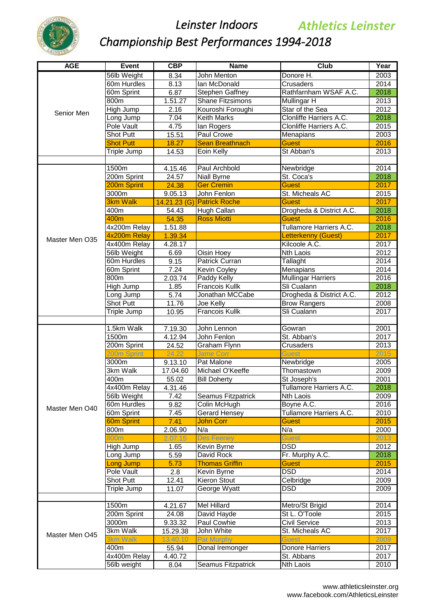

| <b>AGE</b>     | <b>Event</b>                 | <b>CBP</b>           | <b>Name</b>                     | Club                                    | Year         |
|----------------|------------------------------|----------------------|---------------------------------|-----------------------------------------|--------------|
|                | 56lb Weight                  | 8.34                 | <b>John Menton</b>              | Donore <sub>H.</sub>                    | 2003         |
|                | 60m Hurdles                  | 8.13                 | Ian McDonald                    | Crusaders                               | 2014         |
|                | 60m Sprint                   | 6.87                 | Stephen Gaffney                 | Rathfarnham WSAF A.C.                   | 2018         |
|                | 800m                         | 1.51.27              | <b>Shane Fitzsimons</b>         | Mullingar H                             | 2013         |
| Senior Men     | High Jump                    | 2.16                 | Kouroshi Foroughi               | Star of the Sea                         | 2012         |
|                | Long Jump                    | 7.04                 | <b>Keith Marks</b>              | Clonliffe Harriers A.C.                 | 2018         |
|                | <b>Pole Vault</b>            | 4.75                 | lan Rogers                      | Clonliffe Harriers A.C.                 | 2015         |
|                | <b>Shot Putt</b>             | 15.51                | <b>Paul Crowe</b>               | Menapians                               | 2003         |
|                | <b>Shot Putt</b>             | 18.27                | <b>Sean Breathnach</b>          | <b>Guest</b>                            | 2016         |
|                | Triple Jump                  | 14.53                | Eoin Kelly                      | St Abban's                              | 2013         |
|                |                              |                      |                                 |                                         |              |
|                | 1500m                        | 4.15.46              | Paul Archbold                   | Newbridge                               | 2014         |
|                | 200m Sprint                  | 24.57                | <b>Niall Byrne</b>              | St. Coca's                              | 2018         |
|                | 200m Sprint                  | 24.38                | <b>Ger Cremin</b>               | <b>Guest</b>                            | 2017         |
|                | 3000m                        | 9.05.13              | John Fenlon                     | St. Micheals AC                         | 2015         |
|                | <b>3km Walk</b>              |                      | 14.21.23 (G) Patrick Roche      | Guest                                   | 2017         |
|                | 400m                         | 54.43                | Hugh Callan                     | Drogheda & District A.C.                | 2018         |
|                | 400m<br>4x200m Relay         | 54.35                | <b>Ross Miotti</b>              | <b>Guest</b><br>Tullamore Harriers A.C. | 2016<br>2018 |
|                |                              | 1.51.88<br>1.39.34   |                                 |                                         | 2017         |
| Master Men O35 | 4x200m Relay<br>4x400m Relay | 4.28.17              |                                 | Letterkenny (Guest)<br>Kilcoole A.C.    | 2017         |
|                | 56lb Weight                  | 6.69                 | Oisin Hoey                      | Nth Laois                               | 2012         |
|                | 60m Hurdles                  | 9.15                 | Patrick Curran                  | Tallaght                                | 2014         |
|                | 60m Sprint                   | 7.24                 | Kevin Coyley                    | <b>Menapians</b>                        | 2014         |
|                | 800m                         | 2.03.74              | Paddy Kelly                     | <b>Mullingar Harriers</b>               | 2016         |
|                | High Jump                    | 1.85                 | Francois Kullk                  | Sli Cualann                             | 2018         |
|                | Long Jump                    | 5.74                 | Jonathan MCCabe                 | Drogheda & District A.C.                | 2012         |
|                | Shot Putt                    | 11.76                | Joe Kelly                       | <b>Brow Rangers</b>                     | 2008         |
|                | Triple Jump                  | 10.95                | <b>Francois Kullk</b>           | Sli Cualann                             | 2017         |
|                |                              |                      |                                 |                                         |              |
|                | 1.5km Walk                   | 7.19.30              | John Lennon                     | Gowran                                  | 2001         |
|                | 1500m                        | 4.12.94              | John Fenlon                     | St. Abban's                             | 2017         |
|                | 200m Sprint                  | 24.52                | Graham Flynn                    | Crusaders                               | 2013         |
|                | 200m Sprint                  | 24.<br>.22           | <b>Jame Corr</b>                | Guest                                   | 2015         |
|                | 3000m                        | 9.13.10              | Pat Malone                      | Newbridge                               | 2005         |
|                | 3km Walk                     | 17.04.60             | Michael O'Keeffe                | Thomastown                              | 2009         |
|                | 400m                         | 55.02                | <b>Bill Doherty</b>             | St Joseph's                             | 2001         |
|                | 4x400m Relay                 | 4.31.46              |                                 | Tullamore Harriers A.C.                 | 2018         |
|                | 56lb Weight                  | 7.42                 | Seamus Fitzpatrick              | <b>Nth Laois</b>                        | 2009         |
| Master Men O40 | 60m Hurdles                  | 9.82                 | Colin McHugh                    | Boyne A.C.                              | 2016         |
|                | 60m Sprint                   | 7.45                 | Gerard Hensey                   | Tullamore Harriers A.C.                 | 2010         |
|                | <b>60m Sprint</b>            | 7.41                 | John Corr                       | <b>Guest</b>                            | 2015         |
|                | 800m                         | 2.06.90              | N/a                             | N/a                                     | 2000         |
|                | 800m                         | 2.07.15              | <b>Des Feeney</b>               | Guest                                   | 2013         |
|                | High Jump                    | 1.65                 | Kevin Byrne                     | <b>DSD</b>                              | 2012         |
|                | Long Jump                    | 5.59                 | David Rock                      | Fr. Murphy A.C.                         | 2018         |
|                | Long Jump                    | 5.73                 | <b>Thomas Griffin</b>           | <b>Guest</b>                            | 2015         |
|                | Pole Vault                   | 2.8                  | Kevin Byrne                     | <b>DSD</b>                              | 2014         |
|                | <b>Shot Putt</b>             | 12.41                | Kieron Stout                    | Celbridge                               | 2009         |
|                | Triple Jump                  | 11.07                | George Wyatt                    | <b>DSD</b>                              | 2009         |
|                |                              |                      |                                 |                                         |              |
|                | 1500m                        | 4.21.67              | Mel Hillard                     | Metro/St Brigid                         | 2014         |
|                | 200m Sprint                  | 24.08                | David Hayde                     | St L. O'Toole                           | 2015         |
|                | 3000m                        | 9.33.32              | Paul Cowhie                     | Civil Service                           | 2013         |
| Master Men O45 | 3km Walk<br>3km Walk         | 15.29.38<br>13.40.10 | John White<br><b>Pat Murphy</b> | St. Micheals AC<br><b>Guest</b>         | 2017<br>2009 |
|                | 400m                         | 55.94                | Donal Iremonger                 | Donore Harriers                         | 2017         |
|                | 4x400m Relay                 | 4.40.72              |                                 | St. Abbans                              | 2017         |
|                | 56lb weight                  | 8.04                 | <b>Seamus Fitzpatrick</b>       | Nth Laois                               | 2010         |
|                |                              |                      |                                 |                                         |              |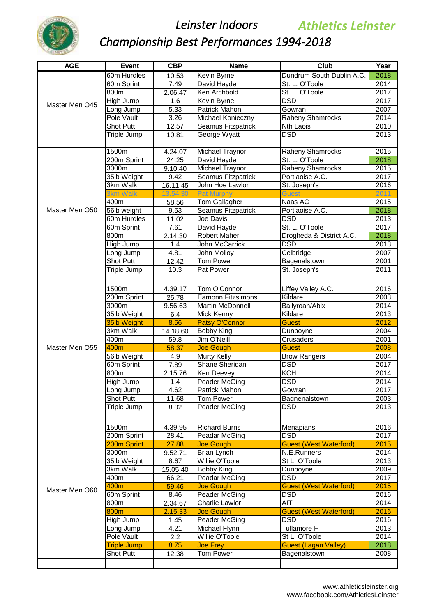

| <b>AGE</b>     | <b>Event</b>               | CBP              | <b>Name</b>                         | <b>Club</b>                   | Year |
|----------------|----------------------------|------------------|-------------------------------------|-------------------------------|------|
|                | 60m Hurdles                | 10.53            | Kevin Byrne                         | Dundrum South Dublin A.C.     | 2018 |
|                | 60m Sprint                 | 7.49             | David Hayde                         | St. L. O'Toole                | 2014 |
|                | 800m                       | 2.06.47          | Ken Archbold                        | St. L. O'Toole                | 2017 |
|                | High Jump                  | 1.6              | Kevin Byrne                         | <b>DSD</b>                    | 2017 |
| Master Men O45 | Long Jump                  | 5.33             | Patrick Mahon                       | Gowran                        | 2007 |
|                | Pole Vault                 | 3.26             | Michael Konieczny                   | <b>Raheny Shamrocks</b>       | 2014 |
|                | <b>Shot Putt</b>           | 12.57            | <b>Seamus Fitzpatrick</b>           | Nth Laois                     | 2010 |
|                | Triple Jump                | 10.81            | George Wyatt                        | <b>DSD</b>                    | 2013 |
|                |                            |                  |                                     |                               |      |
|                | 1500m                      | 4.24.07          | Michael Traynor                     | <b>Raheny Shamrocks</b>       | 2015 |
|                | 200m Sprint                | 24.25            | David Hayde                         | St. L. O'Toole                | 2018 |
|                | 3000m                      | 9.10.40          | <b>Michael Traynor</b>              | <b>Raheny Shamrocks</b>       | 2015 |
|                | 35lb Weight                | 9.42             | <b>Seamus Fitzpatrick</b>           | Portlaoise A.C.               | 2017 |
|                | 3km Walk                   | 16.11.45         | John Hoe Lawlor                     | St. Joseph's                  | 2016 |
|                | 3km Walk                   | 13.54.30         | <b>Pat Murphy</b>                   | <b>Guest</b>                  | 2011 |
|                | 400m                       | 58.56            | Tom Gallagher                       | Naas AC                       | 2015 |
| Master Men O50 | 56lb weight                | 9.53             | Seamus Fitzpatrick                  | Portlaoise A.C.               | 2018 |
|                | 60m Hurdles                | 11.02            | Joe Davis                           | DSD                           | 2013 |
|                | 60m Sprint                 | 7.61             | David Hayde                         | St. L. O'Toole                | 2017 |
|                | 800m                       | 2.14.30          | Robert Maher                        | Drogheda & District A.C.      | 2018 |
|                | High Jump                  | 1.4              | <b>John McCarrick</b>               | $\overline{DSD}$              | 2013 |
|                | Long Jump                  | 4.81             | John Molloy                         | Celbridge                     | 2007 |
|                | Shot Putt                  | 12.42            | <b>Tom Power</b>                    | Bagenalstown                  | 2001 |
|                | Triple Jump                | 10.3             | Pat Power                           | St. Joseph's                  | 2011 |
|                |                            |                  |                                     |                               |      |
|                | 1500m                      | 4.39.17          | Tom O'Connor                        | Liffey Valley A.C.            | 2016 |
|                | 200m Sprint                | 25.78            | <b>Eamonn Fitzsimons</b>            | Kildare                       | 2003 |
|                | 3000m                      | 9.56.63          | Martin McDonnell                    |                               | 2014 |
|                |                            | 6.4              |                                     | Ballyroan/Ablx<br>Kildare     | 2013 |
|                | 35lb Weight<br>35lb Weight |                  | Mick Kenny<br><b>Patsy O'Connor</b> | <b>Guest</b>                  | 2012 |
|                | 3km Walk                   | 8.56             | <b>Bobby King</b>                   | Dunboyne                      | 2004 |
|                | 400m                       | 14.18.60<br>59.8 | Jim O'Neill                         |                               | 2001 |
| Master Men O55 | 400m                       |                  |                                     | Crusaders<br><b>Guest</b>     | 2008 |
|                |                            | 58.37            | <b>Joe Gough</b>                    |                               | 2004 |
|                | 56lb Weight                | 4.9              | Murty Kelly                         | <b>Brow Rangers</b>           | 2017 |
|                | 60m Sprint                 | 7.89             | <b>Shane Sheridan</b>               | <b>DSD</b>                    |      |
|                | 800m                       | 2.15.76          | Ken Deevey                          | <b>KCH</b>                    | 2014 |
|                | High Jump                  | 1.4              | Peader McGing                       | <b>DSD</b>                    | 2014 |
|                | Long Jump                  | 4.62             | <b>Patrick Mahon</b>                | Gowran                        | 2017 |
|                | Shot Putt                  | 11.68            | Tom Power                           | Bagnenalstown                 | 2003 |
|                | Triple Jump                | 8.02             | Peader McGing                       | DSD                           | 2013 |
|                |                            |                  |                                     |                               |      |
|                | 1500m                      | 4.39.95          | <b>Richard Burns</b>                | Menapians                     | 2016 |
|                | 200m Sprint                | 28.41            | Peadar McGing                       | <b>DSD</b>                    | 2017 |
|                | 200m Sprint                | 27.88            | <b>Joe Gough</b>                    | <b>Guest (West Waterford)</b> | 2015 |
|                | 3000m                      | 9.52.71          | <b>Brian Lynch</b>                  | N.E.Runners                   | 2014 |
|                | 35lb Weight                | 8.67             | Willie O'Toole                      | St L. O'Toole                 | 2013 |
|                | 3km Walk                   | 15.05.40         | <b>Bobby King</b>                   | Dunboyne                      | 2009 |
|                | 400m                       | 66.21            | Peadar McGing                       | DSD                           | 2017 |
|                | 400m                       | 59.46            | <b>Joe Gough</b>                    | <b>Guest (West Waterford)</b> | 2015 |
| Master Men O60 | 60m Sprint                 | 8.46             | Peader McGing                       | <b>DSD</b>                    | 2016 |
|                | 800m                       | 2.34.67          | <b>Charlie Lawlor</b>               | <b>AIT</b>                    | 2014 |
|                | 800m                       | 2.15.33          | <b>Joe Gough</b>                    | <b>Guest (West Waterford)</b> | 2016 |
|                | High Jump                  | 1.45             | Peader McGing                       | <b>DSD</b>                    | 2016 |
|                | Long Jump                  | 4.21             | Michael Flynn                       | <b>Tullamore H</b>            | 2013 |
|                | Pole Vault                 | 2.2              | Willie O'Toole                      | St L. O'Toole                 | 2014 |
|                | <b>Triple Jump</b>         | 8.75             | <b>Joe Frey</b>                     | <b>Guest (Lagan Valley)</b>   | 2018 |
|                | <b>Shot Putt</b>           | 12.38            | Tom Power                           | Bagenalstown                  | 2008 |
|                |                            |                  |                                     |                               |      |
|                |                            |                  |                                     |                               |      |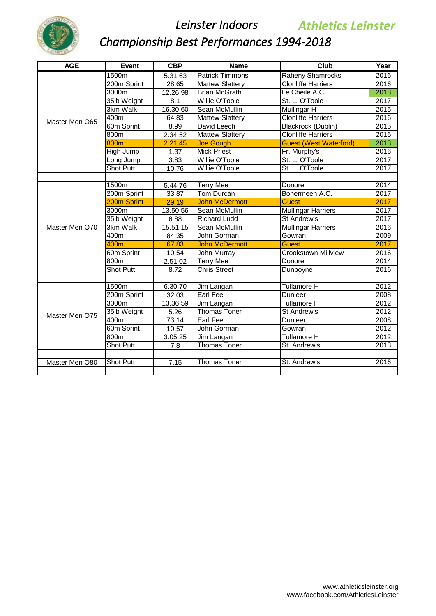

| <b>AGE</b>     | Event            | CBP                | <b>Name</b>            | Club                          | Year |
|----------------|------------------|--------------------|------------------------|-------------------------------|------|
|                | 1500m            | 5.31.63            | <b>Patrick Timmons</b> | <b>Raheny Shamrocks</b>       | 2016 |
|                | 200m Sprint      | 28.65              | <b>Mattew Slattery</b> | <b>Clonliffe Harriers</b>     | 2016 |
|                | 3000m            | 12.26.98           | <b>Brian McGrath</b>   | Le Cheile A.C.                | 2018 |
|                | 35lb Weight      | 8.1                | Willie O'Toole         | St. L. O'Toole                | 2017 |
|                | 3km Walk         | 16.30.60           | Sean McMullin          | Mullingar H                   | 2015 |
| Master Men O65 | 400m             | 64.83              | <b>Mattew Slattery</b> | <b>Clonliffe Harriers</b>     | 2016 |
|                | 60m Sprint       | 8.99               | David Leech            | <b>Blackrock (Dublin)</b>     | 2015 |
|                | 800m             | 2.34.52            | <b>Mattew Slattery</b> | <b>Clonliffe Harriers</b>     | 2016 |
|                | 800m             | 2.21.45            | <b>Joe Gough</b>       | <b>Guest (West Waterford)</b> | 2018 |
|                | High Jump        | 1.37               | <b>Mick Priest</b>     | Fr. Murphy's                  | 2016 |
|                | Long Jump        | 3.83               | Willie O'Toole         | St. L. O'Toole                | 2017 |
|                | <b>Shot Putt</b> | $10.\overline{76}$ | Willie O'Toole         | St. L. O'Toole                | 2017 |
|                |                  |                    |                        |                               |      |
|                | 1500m            | 5.44.76            | <b>Terry Mee</b>       | Donore                        | 2014 |
|                | 200m Sprint      | 33.87              | <b>Tom Durcan</b>      | Bohermeen A.C.                | 2017 |
|                | 200m Sprint      | 29.19              | <b>John McDermott</b>  | <b>Guest</b>                  | 2017 |
|                | 3000m            | 13.50.56           | Sean McMullin          | <b>Mullingar Harriers</b>     | 2017 |
|                | 35lb Weight      | 6.88               | <b>Richard Ludd</b>    | St Andrew's                   | 2017 |
| Master Men O70 | 3km Walk         | 15.51.15           | Sean McMullin          | <b>Mullingar Harriers</b>     | 2016 |
|                | 400m             | 84.35              | John Gorman            | Gowran                        | 2009 |
|                | 400m             | 67.83              | <b>John McDermott</b>  | <b>Guest</b>                  | 2017 |
|                | 60m Sprint       | 10.54              | John Murray            | <b>Crookstown Millview</b>    | 2016 |
|                | 800m             | 2.51.02            | <b>Terry Mee</b>       | Donore                        | 2014 |
|                | <b>Shot Putt</b> | 8.72               | <b>Chris Street</b>    | Dunboyne                      | 2016 |
|                |                  |                    |                        |                               |      |
|                | 1500m            | 6.30.70            | Jim Langan             | Tullamore H                   | 2012 |
|                | 200m Sprint      | 32.03              | <b>Earl Fee</b>        | Dunleer                       | 2008 |
|                | 3000m            | 13.36.59           | Jim Langan             | Tullamore H                   | 2012 |
| Master Men O75 | 35lb Weight      | 5.26               | <b>Thomas Toner</b>    | St Andrew's                   | 2012 |
|                | 400m             | 73.14              | Earl Fee               | Dunleer                       | 2008 |
|                | 60m Sprint       | 10.57              | John Gorman            | Gowran                        | 2012 |
|                | 800m             | 3.05.25            | Jim Langan             | Tullamore H                   | 2012 |
|                | <b>Shot Putt</b> | 7.8                | <b>Thomas Toner</b>    | St. Andrew's                  | 2013 |
|                |                  |                    |                        |                               |      |
| Master Men O80 | <b>Shot Putt</b> | 7.15               | <b>Thomas Toner</b>    | St. Andrew's                  | 2016 |
|                |                  |                    |                        |                               |      |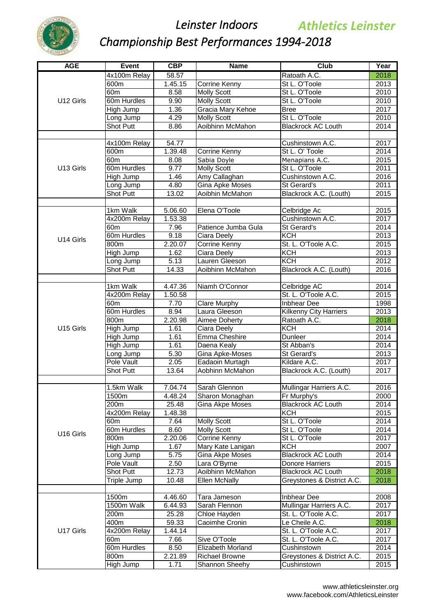

| <b>AGE</b> | Event                           | CBP             | <b>Name</b>           | <b>Club</b>                        | Year         |
|------------|---------------------------------|-----------------|-----------------------|------------------------------------|--------------|
|            | 4x100m Relay                    | 58.57           |                       | Ratoath A.C.                       | 2018         |
|            | 600m                            | 1.45.15         | <b>Corrine Kenny</b>  | St L. O'Toole                      | 2013         |
|            | 60 <sub>m</sub>                 | 8.58            | <b>Molly Scott</b>    | St L. O'Toole                      | 2010         |
| U12 Girls  | 60m Hurdles                     | 9.90            | <b>Molly Scott</b>    | St L. O'Toole                      | 2010         |
|            | High Jump                       | 1.36            | Gracia Mary Kehoe     | <b>Bree</b>                        | 2017         |
|            | Long Jump                       | 4.29            | <b>Molly Scott</b>    | St L. O'Toole                      | 2010         |
|            | Shot Putt                       | 8.86            | Aoibhinn McMahon      | <b>Blackrock AC Louth</b>          | 2014         |
|            |                                 |                 |                       |                                    |              |
|            | 4x100m Relay                    | 54.77           |                       | Cushinstown A.C.                   | 2017         |
|            | 600m                            | 1.39.48         | <b>Corrine Kenny</b>  | St L. O' Toole                     | 2014         |
|            | 60 <sub>m</sub>                 | 8.08            | Sabia Doyle           | Menapians A.C.                     | 2015         |
| U13 Girls  | 60m Hurdles                     | 9.77            | <b>Molly Scott</b>    | St L. O'Toole                      | 2011         |
|            | High Jump                       | 1.46            | Amy Callaghan         | Cushinstown A.C.                   | 2016         |
|            | Long Jump                       | 4.80            | Gina Apke Moses       | St Gerard's                        | 2011         |
|            | Shot Putt                       | 13.02           | Aoibhin McMahon       | Blackrock A.C. (Louth)             | 2015         |
|            |                                 |                 |                       |                                    |              |
|            | 1km Walk                        | 5.06.60         | Elena O'Toole         | Celbridge Ac                       | 2015         |
|            | 4x200m Relay<br>60 <sub>m</sub> | 1.53.38<br>7.96 | Patience Jumba Gula   | Cushinstown A.C.<br>St Gerard's    | 2017<br>2014 |
|            | 60m Hurdles                     | 9.18            | Ciara Deely           | KCH                                | 2013         |
| U14 Girls  | 800m                            | 2.20.07         | <b>Corrine Kenny</b>  | St. L. O'Toole A.C.                | 2015         |
|            | High Jump                       | 1.62            | Ciara Deely           | <b>KCH</b>                         | 2013         |
|            | Long Jump                       | 5.13            | Lauren Gleeson        | KCH                                | 2012         |
|            | Shot Putt                       | 14.33           | Aoibhinn McMahon      | Blackrock A.C. (Louth)             | 2016         |
|            |                                 |                 |                       |                                    |              |
|            | 1km Walk                        | 4.47.36         | Niamh O'Connor        | <b>Celbridge AC</b>                | 2014         |
|            | 4x200m Relay                    | 1.50.58         |                       | St. L. O'Toole A.C.                | 2015         |
|            | 60 <sub>m</sub>                 | 7.70            | Clare Murphy          | Inbhear Dee                        | 1998         |
|            | 60m Hurdles                     | 8.94            | Laura Gleeson         | Kilkenny City Harriers             | 2013         |
|            | 800m                            | 2.20.98         | Aimee Doherty         | Ratoath A.C.                       | 2018         |
| U15 Girls  | High Jump                       | 1.61            | Ciara Deely           | $\overline{KCH}$                   | 2014         |
|            | High Jump                       | 1.61            | Emma Cheshire         | Dunleer                            | 2014         |
|            | High Jump                       | 1.61            | Daena Kealy           | St Abban's                         | 2014         |
|            | Long Jump                       | 5.30            | Gina Apke-Moses       | St Gerard's                        | 2013         |
|            | Pole Vault                      | 2.05            | Eadaoin Murtagh       | Kildare A.C.                       | 2017         |
|            | Shot Putt                       | 13.64           | Aobhinn McMahon       | Blackrock A.C. (Louth)             | 2017         |
|            |                                 |                 |                       |                                    |              |
|            | 1.5km Walk                      | 7.04.74         | Sarah Glennon         | Mullingar Harriers A.C.            | 2016         |
|            | 1500m                           | 4.48.24         | Sharon Monaghan       | Fr Murphy's                        | 2000         |
|            | 200m                            | 25.48           | Gina Akpe Moses       | <b>Blackrock AC Louth</b>          | 2014         |
|            | 4x200m Relay                    | 1.48.38         |                       | <b>KCH</b>                         | 2015         |
|            | 60 <sub>m</sub>                 | 7.64            | <b>Molly Scott</b>    | St L. O'Toole                      | 2014         |
| U16 Girls  | 60m Hurdles                     | 8.60            | <b>Molly Scott</b>    | St L. O'Toole                      | 2014         |
|            | 800m                            | 2.20.06         | Corrine Kenny         | St L. O'Toole                      | 2017         |
|            | High Jump                       | 1.67            | Mary Kate Lanigan     | KCH                                | 2007         |
|            | Long Jump                       | 5.75            | Gina Akpe Moses       | <b>Blackrock AC Louth</b>          | 2014         |
|            | Pole Vault                      | 2.50            | Lara O'Byrne          | Donore Harriers                    | 2015         |
|            | Shot Putt                       | 12.73           | Aoibhinn McMahon      | <b>Blackrock AC Louth</b>          | 2018         |
|            | Triple Jump                     | 10.48           | <b>Ellen McNally</b>  | Greystones & District A.C.         | 2018         |
|            |                                 |                 |                       |                                    |              |
|            | 1500m                           | 4.46.60         | Tara Jameson          | Inbhear Dee                        | 2008         |
|            | 1500m Walk                      | 6.44.93         | Sarah Flennon         | Mullingar Harriers A.C.            | 2017         |
|            | 200m                            | 25.28           | Chloe Hayden          | St. L. O'Toole A.C.                | 2017         |
| U17 Girls  | 400m                            | 59.33           | Caoimhe Cronin        | Le Cheile A.C.                     | 2018         |
|            | 4x200m Relay<br>60m             | 1.44.14<br>7.66 | Sive O'Toole          | St. L. O'Toole A.C.                | 2017<br>2017 |
|            | 60m Hurdles                     | 8.50            | Elizabeth Morland     | St. L. O'Toole A.C.<br>Cushinstown | 2014         |
|            | 800m                            | 2.21.89         | <b>Richael Browne</b> | Greystones & District A.C.         | 2015         |
|            | High Jump                       | 1.71            | Shannon Sheehy        | Cushinstown                        | 2015         |
|            |                                 |                 |                       |                                    |              |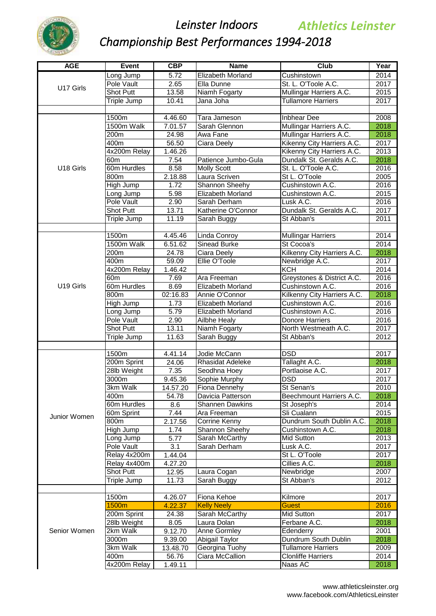

| <b>AGE</b>   | Event               | <b>CBP</b>           | <b>Name</b>                          | <b>Club</b>                            | Year              |
|--------------|---------------------|----------------------|--------------------------------------|----------------------------------------|-------------------|
|              | Long Jump           | 5.72                 | Elizabeth Morland                    | Cushinstown                            | 2014              |
| U17 Girls    | Pole Vault          | 2.65                 | Ella Dunne                           | St. L. O'Toole A.C.                    | 2017              |
|              | <b>Shot Putt</b>    | 13.58                | Niamh Fogarty                        | Mullingar Harriers A.C.                | 2015              |
|              | Triple Jump         | 10.41                | Jana Joha                            | <b>Tullamore Harriers</b>              | 2017              |
|              |                     |                      |                                      |                                        |                   |
|              | 1500m               | 4.46.60              | Tara Jameson                         | <b>Inbhear Dee</b>                     | 2008              |
|              | 1500m Walk          | 7.01.57              | Sarah Glennon                        | Mullingar Harriers A.C.                | 2018              |
|              | 200m                | 24.98                | Awa Fane                             | Mullingar Harriers A.C.                | 2018              |
|              | 400m                | 56.50                | Ciara Deely                          | Kikenny City Harriers A.C.             | 2017              |
|              | 4x200m Relay        | 1.46.26              |                                      | Kikenny City Harriers A.C.             | 2013              |
|              | 60 <sub>m</sub>     | 7.54                 | Patience Jumbo-Gula                  | Dundalk St. Geralds A.C.               | 2018              |
| U18 Girls    | 60m Hurdles         | 8.58                 | <b>Molly Scott</b>                   | St. L. O'Toole A.C.                    | 2016              |
|              | 800m                | 2.18.88              | Laura Scriven                        | St L. O'Toole                          | 2005              |
|              | High Jump           | 1.72                 | Shannon Sheehy                       | Cushinstown A.C.                       | 2016              |
|              | Long Jump           | 5.98                 | Elizabeth Morland                    | Cushinstown A.C.                       | 2015              |
|              | Pole Vault          | 2.90<br>13.71        | Sarah Derham                         | Lusk A.C.                              | 2016              |
|              | <b>Shot Putt</b>    |                      | Katherine O'Connor                   | Dundalk St. Geralds A.C.               | 2017              |
|              | Triple Jump         | 11.19                | Sarah Buggy                          | St Abban's                             | 2011              |
|              | 1500m               | 4.45.46              | Linda Conroy                         | <b>Mullingar Harriers</b>              | 2014              |
|              | 1500m Walk          | 6.51.62              | <b>Sinead Burke</b>                  | St Cocoa's                             | 2014              |
|              | 200m                | 24.78                | Ciara Deely                          | Kilkenny City Harriers A.C.            | 2018              |
|              | 400m                | 59.09                | Ellie O'Toole                        | Newbridge A.C.                         | 2017              |
|              | 4x200m Relay        | 1.46.42              |                                      | <b>KCH</b>                             | 2014              |
|              | 60m                 | 7.69                 | Ara Freeman                          | Greystones & District A.C.             | 2016              |
| U19 Girls    | 60m Hurdles         | 8.69                 | Elizabeth Morland                    | Cushinstown A.C.                       | 2016              |
|              | 800m                | 02:16.83             | Annie O'Connor                       | Kilkenny City Harriers A.C.            | 2018              |
|              | High Jump           | 1.73                 | Elizabeth Morland                    | Cushinstown A.C.                       | 2016              |
|              | Long Jump           | 5.79                 | Elizabeth Morland                    | Cushinstown A.C.                       | 2016              |
|              | Pole Vault          | 2.90                 | Ailbhe Healy                         | Donore Harriers                        | 2016              |
|              | <b>Shot Putt</b>    | 13.11                | Niamh Fogarty                        | North Westmeath A.C.                   | 2017              |
|              | Triple Jump         | 11.63                | Sarah Buggy                          | St Abban's                             | 2012              |
|              |                     |                      |                                      |                                        |                   |
|              | 1500m               | 4.41.14              | Jodie McCann                         | <b>DSD</b>                             | 2017              |
|              | 200m Sprint         | 24.06                | Rhasidat Adeleke                     | Tallaght A.C.                          | 2018              |
|              | 28lb Weight         | 7.35                 | Seodhna Hoey                         | Portlaoise A.C.                        | 2017              |
|              | 3000m               | $\overline{9.45.36}$ | Sophie Murphy                        | <b>DSD</b>                             | $\overline{2017}$ |
|              | 3km Walk            | 14.57.20             | <b>Fiona Dennehy</b>                 | St Senan's<br>Beechmount Harriers A.C. | 2010              |
|              | 400m<br>60m Hurdles | 54.78<br>8.6         | Davicia Patterson<br>Shannen Dawkins | St Joseph's                            | 2018<br>2014      |
|              | 60m Sprint          | 7.44                 | Ara Freeman                          | Sli Cualann                            | 2015              |
| Junior Women | 800m                | 2.17.56              | Corrine Kenny                        | Dundrum South Dublin A.C.              | 2018              |
|              | High Jump           | 1.74                 | Shannon Sheehy                       | Cushinstown A.C.                       | 2018              |
|              | Long Jump           | 5.77                 | Sarah McCarthy                       | Mid Sutton                             | 2013              |
|              | Pole Vault          | 3.1                  | Sarah Derham                         | Lusk A.C.                              | 2017              |
|              | Relay 4x200m        | 1.44.04              |                                      | St L. O'Toole                          | 2017              |
|              | Relay 4x400m        | 4.27.20              |                                      | Cillies A.C.                           | 2018              |
|              | <b>Shot Putt</b>    | 12.95                | Laura Cogan                          | Newbridge                              | 2007              |
|              | Triple Jump         | 11.73                | Sarah Buggy                          | St Abban's                             | 2012              |
|              |                     |                      |                                      |                                        |                   |
|              | 1500m               | 4.26.07              | Fiona Kehoe                          | Kilmore                                | 2017              |
|              | 1500m               | 4.22.37              | <b>Kelly Neely</b>                   | <b>Guest</b>                           | 2016              |
|              | 200m Sprint         | 24.38                | Sarah McCarthy                       | Mid Sutton                             | 2017              |
|              | 28lb Weight         | 8.05                 | Laura Dolan                          | Ferbane A.C.                           | 2018              |
| Senior Women | 2km Walk            | 9.12.70              | Anne Gormley                         | Edenderry                              | 2001              |
|              | 3000m               | 9.39.00              | Abigail Taylor                       | Dundrum South Dublin                   | 2018              |
|              | 3km Walk            | 13.48.70             | Georgina Tuohy                       | <b>Tullamore Harriers</b>              | 2009              |
|              | 400m                | 56.76                | Ciara McCallion                      | <b>Clonliffe Harriers</b>              | 2014              |
|              | 4x200m Relay        | 1.49.11              |                                      | Naas AC                                | 2018              |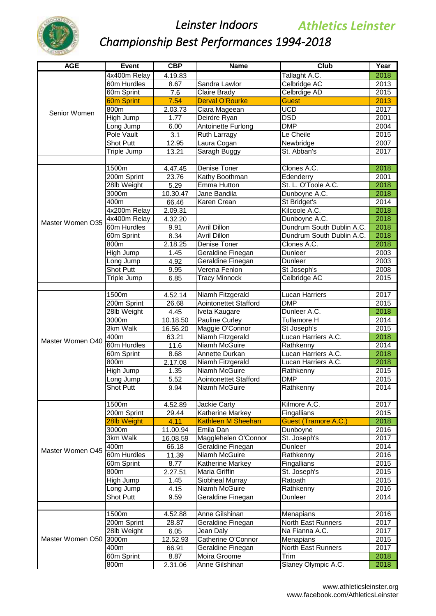

| <b>AGE</b>       | <b>Event</b>     | CBP      | <b>Name</b>                                   | Club                      | Year              |
|------------------|------------------|----------|-----------------------------------------------|---------------------------|-------------------|
|                  | 4x400m Relay     | 4.19.83  |                                               | Tallaght A.C.             | 2018              |
|                  | 60m Hurdles      | 8.67     | Sandra Lawlor                                 | Celbridge AC              | $\overline{2013}$ |
|                  | 60m Sprint       | 7.6      | Claire Brady                                  | Celbrdige AD              | 2015              |
|                  | 60m Sprint       | 7.54     | <b>Derval O'Rourke</b>                        | <b>Guest</b>              | 2013              |
|                  | 800m             | 2.03.73  | Ciara Mageean                                 | UCD                       | 2017              |
| Senior Women     | High Jump        | 1.77     | Deirdre Ryan                                  | <b>DSD</b>                | 2001              |
|                  | Long Jump        | 6.00     | Antoinette Furlong                            | <b>DMP</b>                | 2004              |
|                  | Pole Vault       | 3.1      | Ruth Larragy                                  | Le Cheile                 | 2015              |
|                  | <b>Shot Putt</b> | 12.95    | Laura Cogan                                   | Newbridge                 | 2007              |
|                  | Triple Jump      | 13.21    | Saragh Buggy                                  | St. Abban's               | 2017              |
|                  |                  |          |                                               |                           |                   |
|                  | 1500m            | 4.47.45  | Denise Toner                                  | Clones A.C.               | 2018              |
|                  | 200m Sprint      | 23.76    | Kathy Boothman                                | Edenderry                 | 2001              |
|                  | 28lb Weight      | 5.29     | <b>Emma Hutton</b>                            | St. L. O'Toole A.C.       | 2018              |
|                  | 3000m            | 10.30.47 | Jane Bandila                                  | Dunboyne A.C.             | 2018              |
|                  | 400m             | 66.46    | Karen Crean                                   | St Bridget's              | 2014              |
|                  | 4x200m Relay     | 2.09.31  |                                               | Kilcoole A.C.             | 2018              |
| Master Women O35 | 4x400m Relay     | 4.32.20  |                                               | Dunboyne A.C.             | 2018              |
|                  | 60m Hurdles      | 9.91     | <b>Avril Dillon</b>                           | Dundrum South Dublin A.C. | 2018              |
|                  | 60m Sprint       | 8.34     | <b>Avril Dillon</b>                           | Dundrum South Dublin A.C. | 2018              |
|                  | 800m             | 2.18.25  | <b>Denise Toner</b>                           | Clones A.C.               | 2018              |
|                  | High Jump        | 1.45     | Geraldine Finegan                             | Dunleer                   | 2003              |
|                  | Long Jump        | 4.92     | Geraldine Finegan                             | Dunleer                   | 2003              |
|                  | Shot Putt        | 9.95     | Verena Fenlon                                 | St Joseph's               | 2008              |
|                  | Triple Jump      | 6.85     | <b>Tracy Minnock</b>                          | <b>Celbridge AC</b>       | 2015              |
|                  |                  |          |                                               |                           |                   |
|                  | 1500m            | 4.52.14  | Niamh Fitzgerald                              | <b>Lucan Harriers</b>     | 2017              |
|                  | 200m Sprint      | 26.68    | <b>Aointonettet Stafford</b>                  | DMP                       | 2015              |
|                  | 28lb Weight      | 4.45     | Iveta Kaugare                                 | Dunleer A.C.              | 2018              |
|                  | 3000m            | 10.18.50 | <b>Pauline Curley</b>                         | <b>Tullamore H</b>        | 2014              |
|                  | 3km Walk         | 16.56.20 | Maggie O'Connor                               | St Joseph's               | 2015              |
| Master Women O40 | 400m             | 63.21    | Niamh Fitzgerald                              | Lucan Harriers A.C.       | 2018              |
|                  | 60m Hurdles      | 11.6     | Niamh McGuire                                 | Rathkenny                 | 2014              |
|                  | 60m Sprint       | 8.68     | Annette Durkan                                | Lucan Harriers A.C.       | 2018              |
|                  | 800m             | 2.17.08  | Niamh Fitzgerald                              | Lucan Harriers A.C.       | 2018              |
|                  | High Jump        | 1.35     | <b>Niamh McGuire</b><br>Aointonettet Stafford | Rathkenny<br><b>DMP</b>   | 2015<br>2015      |
|                  | Long Jump        | 5.52     |                                               |                           |                   |
|                  | Shot Putt        | 9.94     | Niamh McGuire                                 | Rathkenny                 | 2014              |
|                  | 1500m            | 4.52.89  | Jackie Carty                                  | Kilmore A.C.              | 2017              |
|                  | 200m Sprint      | 29.44    | Katherine Markey                              | Fingallians               | 2015              |
|                  | 28lb Weight      | 4.11     | <b>Kathleen M Sheehan</b>                     | Guest (Tramore A.C.)      | 2018              |
|                  | 3000m            | 11.00.94 | Emila Dan                                     | Dunboyne                  | 2016              |
|                  | 3km Walk         | 16.08.59 | Magglehelen O'Connor                          | St. Joseph's              | 2017              |
|                  | 400m             | 66.18    | Geraldine Finegan                             | Dunleer                   | 2014              |
| Master Women O45 | 60m Hurdles      | 11.39    | Niamh McGuire                                 | Rathkenny                 | 2016              |
|                  | 60m Sprint       | 8.77     | <b>Katherine Markey</b>                       | Fingallians               | 2015              |
|                  | 800m             | 2.27.51  | <b>Maria Griffin</b>                          | St. Joseph's              | 2015              |
|                  | High Jump        | 1.45     | Siobheal Murray                               | Ratoath                   | 2015              |
|                  | Long Jump        | 4.15     | Niamh McGuire                                 | Rathkenny                 | 2016              |
|                  | <b>Shot Putt</b> | 9.59     | Geraldine Finegan                             | Dunleer                   | 2014              |
|                  |                  |          |                                               |                           |                   |
|                  | 1500m            | 4.52.88  | Anne Gilshinan                                | Menapians                 | 2016              |
|                  | 200m Sprint      | 28.87    | Geraldine Finegan                             | North East Runners        | 2017              |
|                  | 28lb Weight      | 6.05     | Jean Daly                                     | Na Fianna A.C.            | 2017              |
| Master Women O50 | 3000m            | 12.52.93 | Catherine O'Connor                            | Menapians                 | 2015              |
|                  | 400m             | 66.91    | Geraldine Finegan                             | North East Runners        | 2017              |
|                  | 60m Sprint       | 8.87     | Moira Groome                                  | Trim                      | 2018              |
|                  | 800m             | 2.31.06  | Anne Gilshinan                                | Slaney Olympic A.C.       | 2018              |